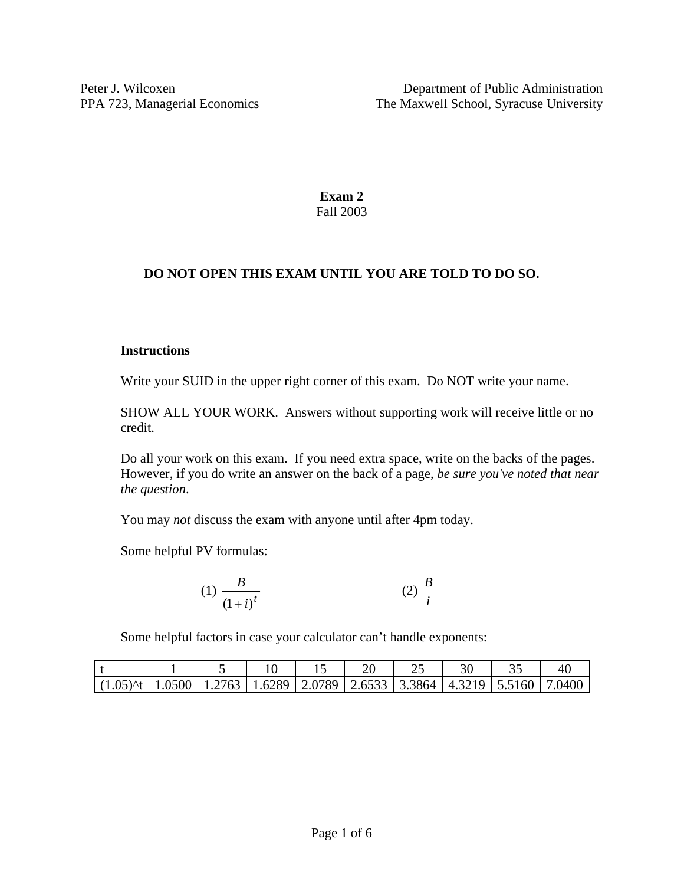**Exam 2**  Fall 2003

# **DO NOT OPEN THIS EXAM UNTIL YOU ARE TOLD TO DO SO.**

#### **Instructions**

Write your SUID in the upper right corner of this exam. Do NOT write your name.

SHOW ALL YOUR WORK. Answers without supporting work will receive little or no credit.

Do all your work on this exam. If you need extra space, write on the backs of the pages. However, if you do write an answer on the back of a page, *be sure you've noted that near the question*.

You may *not* discuss the exam with anyone until after 4pm today.

Some helpful PV formulas:

$$
(1) \frac{B}{\left(1+i\right)^t} \tag{2} \frac{B}{i}
$$

Some helpful factors in case your calculator can't handle exponents:

| $(1.05)$ (t   1.0500   1.2763   1.6289   2.0789   2.6533   3.3864   4.3219   5.5160   7.0400 |  |  |  |  |  |
|----------------------------------------------------------------------------------------------|--|--|--|--|--|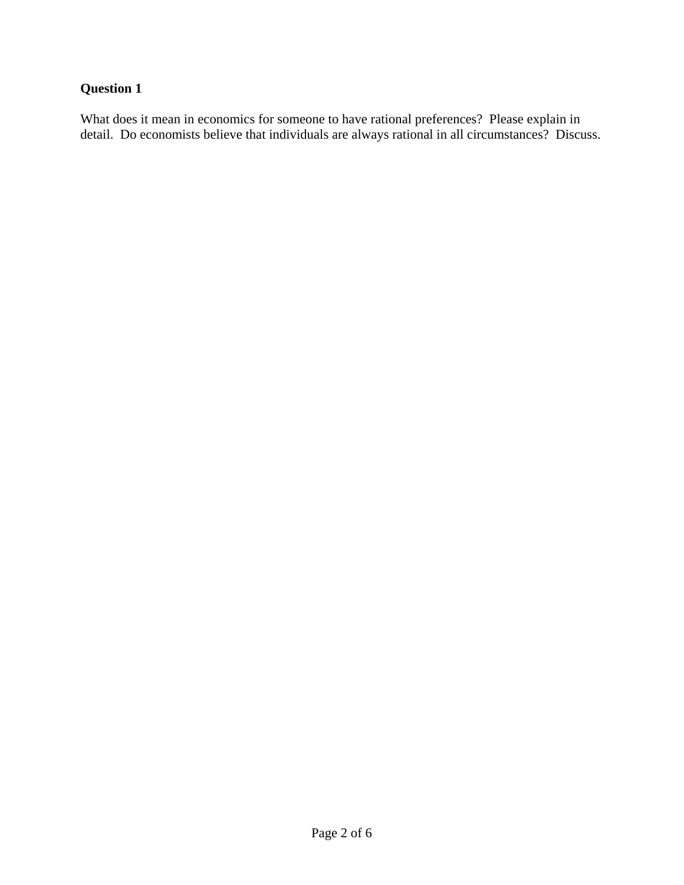What does it mean in economics for someone to have rational preferences? Please explain in detail. Do economists believe that individuals are always rational in all circumstances? Discuss.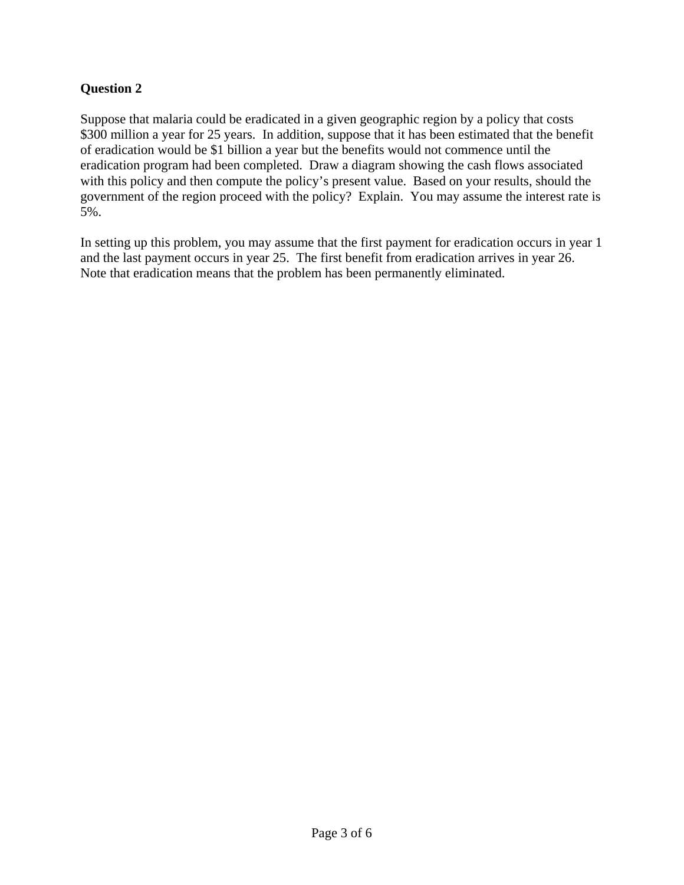Suppose that malaria could be eradicated in a given geographic region by a policy that costs \$300 million a year for 25 years. In addition, suppose that it has been estimated that the benefit of eradication would be \$1 billion a year but the benefits would not commence until the eradication program had been completed. Draw a diagram showing the cash flows associated with this policy and then compute the policy's present value. Based on your results, should the government of the region proceed with the policy? Explain. You may assume the interest rate is 5%.

In setting up this problem, you may assume that the first payment for eradication occurs in year 1 and the last payment occurs in year 25. The first benefit from eradication arrives in year 26. Note that eradication means that the problem has been permanently eliminated.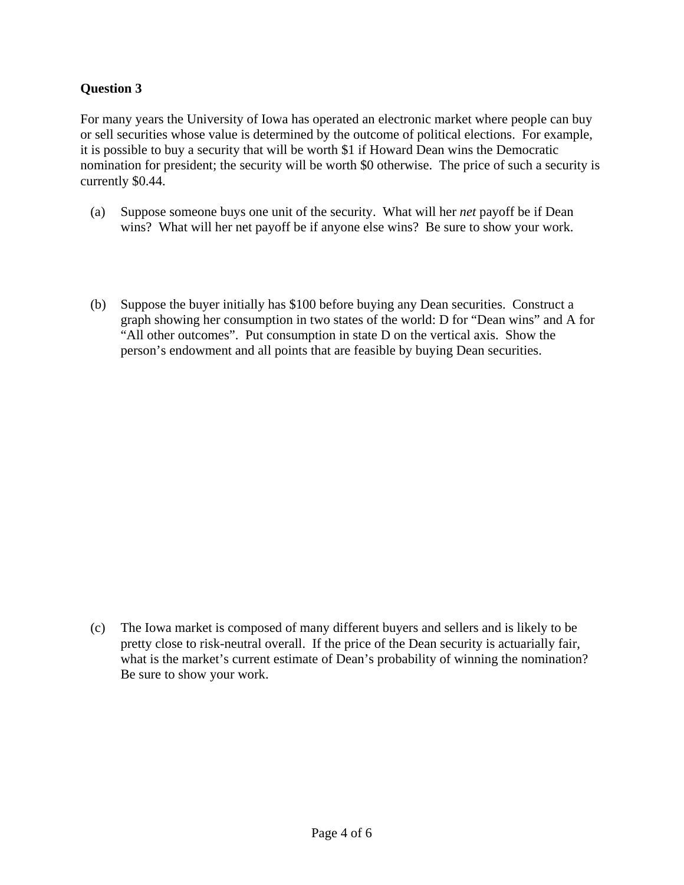For many years the University of Iowa has operated an electronic market where people can buy or sell securities whose value is determined by the outcome of political elections. For example, it is possible to buy a security that will be worth \$1 if Howard Dean wins the Democratic nomination for president; the security will be worth \$0 otherwise. The price of such a security is currently \$0.44.

- (a) Suppose someone buys one unit of the security. What will her *net* payoff be if Dean wins? What will her net payoff be if anyone else wins? Be sure to show your work.
- (b) Suppose the buyer initially has \$100 before buying any Dean securities. Construct a graph showing her consumption in two states of the world: D for "Dean wins" and A for "All other outcomes". Put consumption in state D on the vertical axis. Show the person's endowment and all points that are feasible by buying Dean securities.

(c) The Iowa market is composed of many different buyers and sellers and is likely to be pretty close to risk-neutral overall. If the price of the Dean security is actuarially fair, what is the market's current estimate of Dean's probability of winning the nomination? Be sure to show your work.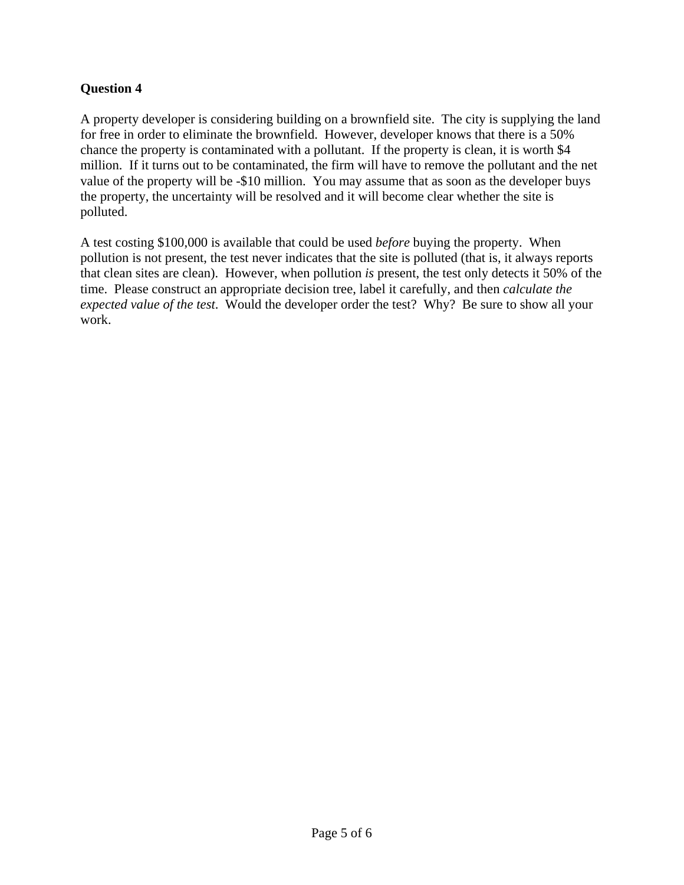A property developer is considering building on a brownfield site. The city is supplying the land for free in order to eliminate the brownfield. However, developer knows that there is a 50% chance the property is contaminated with a pollutant. If the property is clean, it is worth \$4 million. If it turns out to be contaminated, the firm will have to remove the pollutant and the net value of the property will be -\$10 million. You may assume that as soon as the developer buys the property, the uncertainty will be resolved and it will become clear whether the site is polluted.

A test costing \$100,000 is available that could be used *before* buying the property. When pollution is not present, the test never indicates that the site is polluted (that is, it always reports that clean sites are clean). However, when pollution *is* present, the test only detects it 50% of the time. Please construct an appropriate decision tree, label it carefully, and then *calculate the expected value of the test*. Would the developer order the test? Why? Be sure to show all your work.